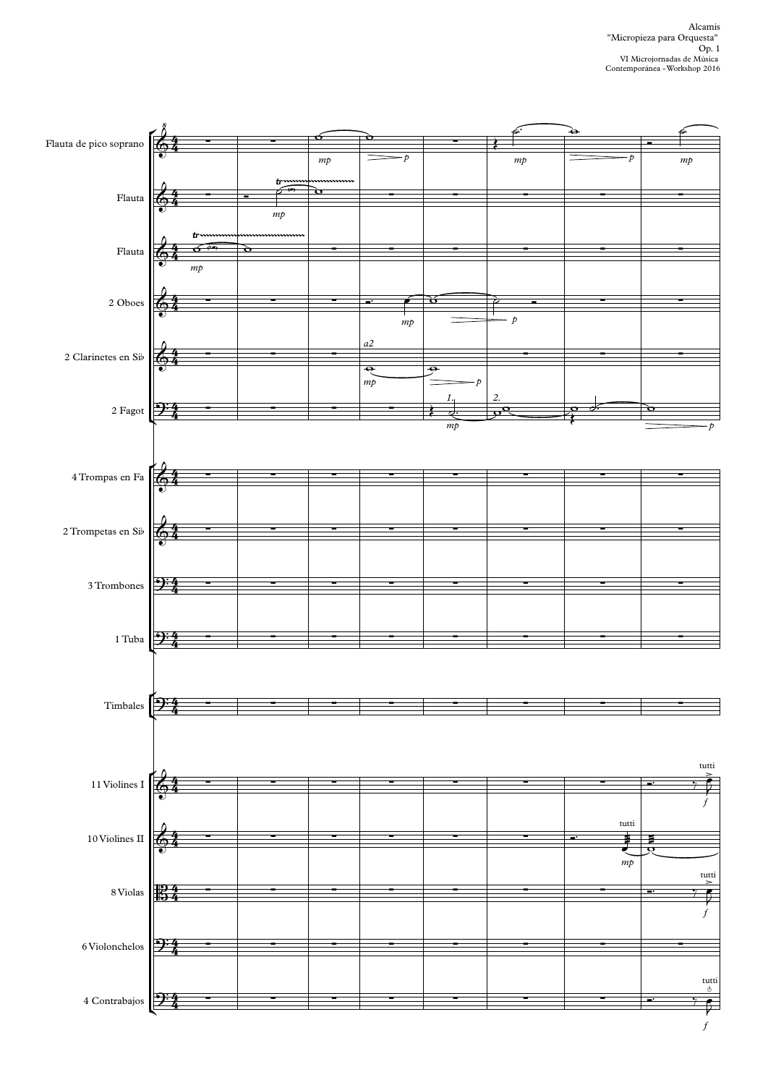

*f*